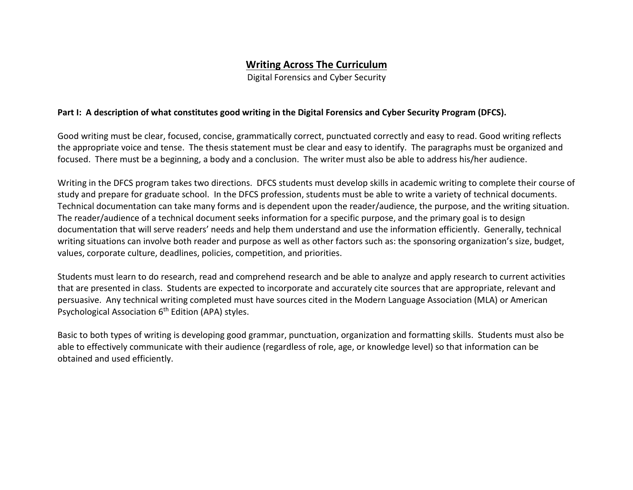# **Writing Across The Curriculum**

Digital Forensics and Cyber Security

#### **Part I: A description of what constitutes good writing in the Digital Forensics and Cyber Security Program (DFCS).**

Good writing must be clear, focused, concise, grammatically correct, punctuated correctly and easy to read. Good writing reflects the appropriate voice and tense. The thesis statement must be clear and easy to identify. The paragraphs must be organized and focused. There must be a beginning, a body and a conclusion. The writer must also be able to address his/her audience.

Writing in the DFCS program takes two directions. DFCS students must develop skills in academic writing to complete their course of study and prepare for graduate school. In the DFCS profession, students must be able to write a variety of technical documents. Technical documentation can take many forms and is dependent upon the reader/audience, the purpose, and the writing situation. The reader/audience of a technical document seeks information for a specific purpose, and the primary goal is to design documentation that will serve readers' needs and help them understand and use the information efficiently. Generally, technical writing situations can involve both reader and purpose as well as other factors such as: the sponsoring organization's size, budget, values, corporate culture, deadlines, policies, competition, and priorities.

Students must learn to do research, read and comprehend research and be able to analyze and apply research to current activities that are presented in class. Students are expected to incorporate and accurately cite sources that are appropriate, relevant and persuasive. Any technical writing completed must have sources cited in the Modern Language Association (MLA) or American Psychological Association 6<sup>th</sup> Edition (APA) styles.

Basic to both types of writing is developing good grammar, punctuation, organization and formatting skills. Students must also be able to effectively communicate with their audience (regardless of role, age, or knowledge level) so that information can be obtained and used efficiently.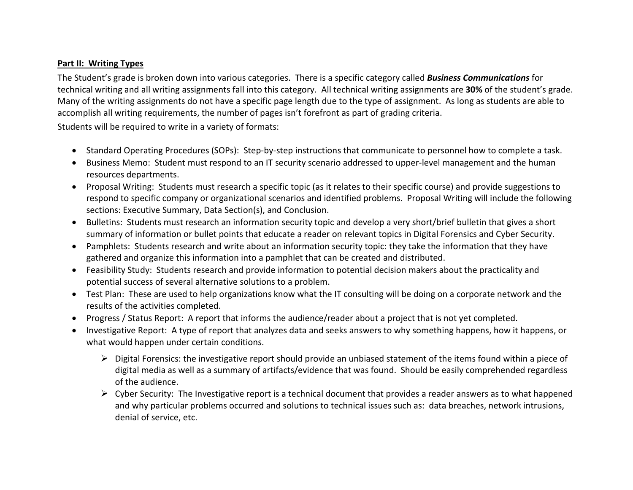## **Part II: Writing Types**

The Student's grade is broken down into various categories. There is a specific category called *Business Communications* for technical writing and all writing assignments fall into this category. All technical writing assignments are **30%** of the student's grade. Many of the writing assignments do not have a specific page length due to the type of assignment. As long as students are able to accomplish all writing requirements, the number of pages isn't forefront as part of grading criteria.

Students will be required to write in a variety of formats:

- Standard Operating Procedures (SOPs): Step-by-step instructions that communicate to personnel how to complete a task.
- Business Memo: Student must respond to an IT security scenario addressed to upper-level management and the human resources departments.
- Proposal Writing: Students must research a specific topic (as it relates to their specific course) and provide suggestions to respond to specific company or organizational scenarios and identified problems. Proposal Writing will include the following sections: Executive Summary, Data Section(s), and Conclusion.
- Bulletins: Students must research an information security topic and develop a very short/brief bulletin that gives a short summary of information or bullet points that educate a reader on relevant topics in Digital Forensics and Cyber Security.
- Pamphlets: Students research and write about an information security topic: they take the information that they have gathered and organize this information into a pamphlet that can be created and distributed.
- Feasibility Study: Students research and provide information to potential decision makers about the practicality and potential success of several alternative solutions to a problem.
- Test Plan: These are used to help organizations know what the IT consulting will be doing on a corporate network and the results of the activities completed.
- Progress / Status Report: A report that informs the audience/reader about a project that is not yet completed.
- Investigative Report: A type of report that analyzes data and seeks answers to why something happens, how it happens, or what would happen under certain conditions.
	- $\triangleright$  Digital Forensics: the investigative report should provide an unbiased statement of the items found within a piece of digital media as well as a summary of artifacts/evidence that was found. Should be easily comprehended regardless of the audience.
	- $\triangleright$  Cyber Security: The Investigative report is a technical document that provides a reader answers as to what happened and why particular problems occurred and solutions to technical issues such as: data breaches, network intrusions, denial of service, etc.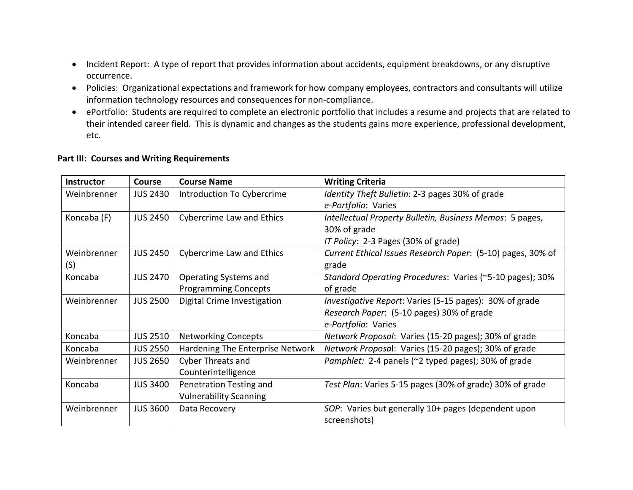- Incident Report: A type of report that provides information about accidents, equipment breakdowns, or any disruptive occurrence.
- Policies: Organizational expectations and framework for how company employees, contractors and consultants will utilize information technology resources and consequences for non-compliance.
- ePortfolio: Students are required to complete an electronic portfolio that includes a resume and projects that are related to their intended career field. This is dynamic and changes as the students gains more experience, professional development, etc.

#### **Part III: Courses and Writing Requirements**

| <b>Instructor</b> | Course          | <b>Course Name</b>               | <b>Writing Criteria</b>                                     |
|-------------------|-----------------|----------------------------------|-------------------------------------------------------------|
| Weinbrenner       | <b>JUS 2430</b> | Introduction To Cybercrime       | Identity Theft Bulletin: 2-3 pages 30% of grade             |
|                   |                 |                                  | e-Portfolio: Varies                                         |
| Koncaba (F)       | <b>JUS 2450</b> | <b>Cybercrime Law and Ethics</b> | Intellectual Property Bulletin, Business Memos: 5 pages,    |
|                   |                 |                                  | 30% of grade                                                |
|                   |                 |                                  | IT Policy: 2-3 Pages (30% of grade)                         |
| Weinbrenner       | <b>JUS 2450</b> | <b>Cybercrime Law and Ethics</b> | Current Ethical Issues Research Paper: (5-10) pages, 30% of |
| (S)               |                 |                                  | grade                                                       |
| Koncaba           | <b>JUS 2470</b> | Operating Systems and            | Standard Operating Procedures: Varies (~5-10 pages); 30%    |
|                   |                 | <b>Programming Concepts</b>      | of grade                                                    |
| Weinbrenner       | <b>JUS 2500</b> | Digital Crime Investigation      | Investigative Report: Varies (5-15 pages): 30% of grade     |
|                   |                 |                                  | Research Paper: (5-10 pages) 30% of grade                   |
|                   |                 |                                  | e-Portfolio: Varies                                         |
| Koncaba           | <b>JUS 2510</b> | <b>Networking Concepts</b>       | Network Proposal: Varies (15-20 pages); 30% of grade        |
| Koncaba           | <b>JUS 2550</b> | Hardening The Enterprise Network | Network Proposal: Varies (15-20 pages); 30% of grade        |
| Weinbrenner       | <b>JUS 2650</b> | Cyber Threats and                | Pamphlet: 2-4 panels (~2 typed pages); 30% of grade         |
|                   |                 | Counterintelligence              |                                                             |
| Koncaba           | <b>JUS 3400</b> | Penetration Testing and          | Test Plan: Varies 5-15 pages (30% of grade) 30% of grade    |
|                   |                 | <b>Vulnerability Scanning</b>    |                                                             |
| Weinbrenner       | <b>JUS 3600</b> | Data Recovery                    | SOP: Varies but generally 10+ pages (dependent upon         |
|                   |                 |                                  | screenshots)                                                |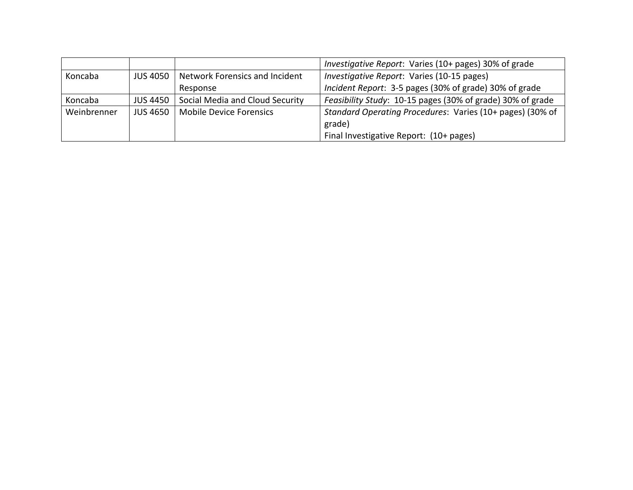|             |                 |                                 | Investigative Report: Varies (10+ pages) 30% of grade      |
|-------------|-----------------|---------------------------------|------------------------------------------------------------|
| Koncaba     | <b>JUS 4050</b> | Network Forensics and Incident  | Investigative Report: Varies (10-15 pages)                 |
|             |                 | Response                        | Incident Report: 3-5 pages (30% of grade) 30% of grade     |
| Koncaba     | JUS 4450        | Social Media and Cloud Security | Feasibility Study: 10-15 pages (30% of grade) 30% of grade |
| Weinbrenner | <b>JUS 4650</b> | <b>Mobile Device Forensics</b>  | Standard Operating Procedures: Varies (10+ pages) (30% of  |
|             |                 |                                 | grade)                                                     |
|             |                 |                                 | Final Investigative Report: (10+ pages)                    |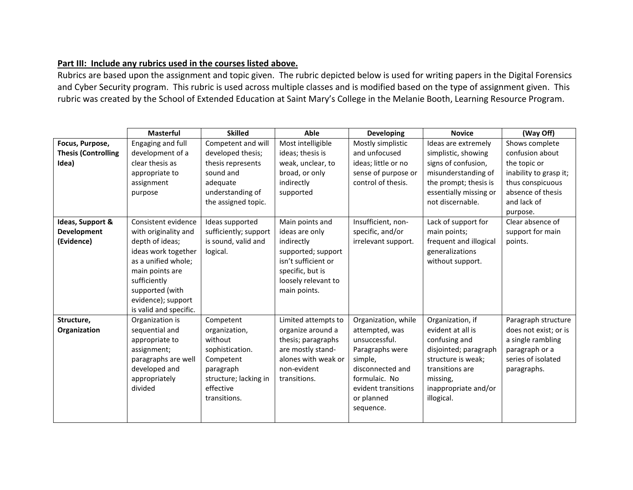## **Part III: Include any rubrics used in the courses listed above.**

Rubrics are based upon the assignment and topic given. The rubric depicted below is used for writing papers in the Digital Forensics and Cyber Security program. This rubric is used across multiple classes and is modified based on the type of assignment given. This rubric was created by the School of Extended Education at Saint Mary's College in the Melanie Booth, Learning Resource Program.

|                                                        | <b>Masterful</b>                                                                                                                                                                                                   | <b>Skilled</b>                                                                                                                           | Able                                                                                                                                                    | <b>Developing</b>                                                                                                                                                           | <b>Novice</b>                                                                                                                                                              | (Way Off)                                                                                                                                       |
|--------------------------------------------------------|--------------------------------------------------------------------------------------------------------------------------------------------------------------------------------------------------------------------|------------------------------------------------------------------------------------------------------------------------------------------|---------------------------------------------------------------------------------------------------------------------------------------------------------|-----------------------------------------------------------------------------------------------------------------------------------------------------------------------------|----------------------------------------------------------------------------------------------------------------------------------------------------------------------------|-------------------------------------------------------------------------------------------------------------------------------------------------|
| Focus, Purpose,<br><b>Thesis (Controlling</b><br>Idea) | Engaging and full<br>development of a<br>clear thesis as<br>appropriate to<br>assignment<br>purpose                                                                                                                | Competent and will<br>developed thesis;<br>thesis represents<br>sound and<br>adequate<br>understanding of<br>the assigned topic.         | Most intelligible<br>ideas; thesis is<br>weak, unclear, to<br>broad, or only<br>indirectly<br>supported                                                 | Mostly simplistic<br>and unfocused<br>ideas; little or no<br>sense of purpose or<br>control of thesis.                                                                      | Ideas are extremely<br>simplistic, showing<br>signs of confusion,<br>misunderstanding of<br>the prompt; thesis is<br>essentially missing or<br>not discernable.            | Shows complete<br>confusion about<br>the topic or<br>inability to grasp it;<br>thus conspicuous<br>absence of thesis<br>and lack of<br>purpose. |
| Ideas, Support &<br>Development<br>(Evidence)          | Consistent evidence<br>with originality and<br>depth of ideas;<br>ideas work together<br>as a unified whole;<br>main points are<br>sufficiently<br>supported (with<br>evidence); support<br>is valid and specific. | Ideas supported<br>sufficiently; support<br>is sound, valid and<br>logical.                                                              | Main points and<br>ideas are only<br>indirectly<br>supported; support<br>isn't sufficient or<br>specific, but is<br>loosely relevant to<br>main points. | Insufficient, non-<br>specific, and/or<br>irrelevant support.                                                                                                               | Lack of support for<br>main points;<br>frequent and illogical<br>generalizations<br>without support.                                                                       | Clear absence of<br>support for main<br>points.                                                                                                 |
| Structure,<br>Organization                             | Organization is<br>sequential and<br>appropriate to<br>assignment;<br>paragraphs are well<br>developed and<br>appropriately<br>divided                                                                             | Competent<br>organization,<br>without<br>sophistication.<br>Competent<br>paragraph<br>structure; lacking in<br>effective<br>transitions. | Limited attempts to<br>organize around a<br>thesis; paragraphs<br>are mostly stand-<br>alones with weak or<br>non-evident<br>transitions.               | Organization, while<br>attempted, was<br>unsuccessful.<br>Paragraphs were<br>simple,<br>disconnected and<br>formulaic. No<br>evident transitions<br>or planned<br>sequence. | Organization, if<br>evident at all is<br>confusing and<br>disjointed; paragraph<br>structure is weak;<br>transitions are<br>missing,<br>inappropriate and/or<br>illogical. | Paragraph structure<br>does not exist; or is<br>a single rambling<br>paragraph or a<br>series of isolated<br>paragraphs.                        |